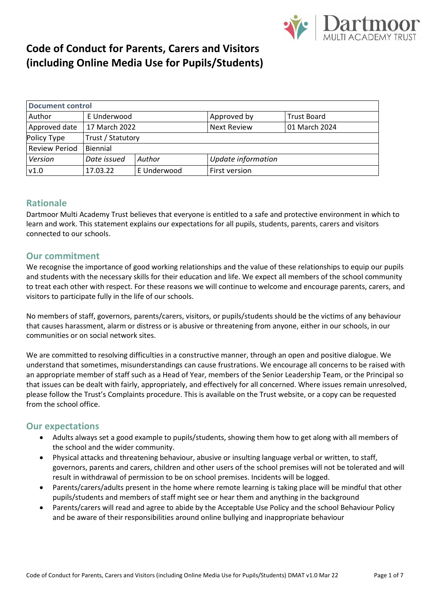

| <b>Document control</b> |                   |             |                    |                    |
|-------------------------|-------------------|-------------|--------------------|--------------------|
| Author                  | E Underwood       |             | Approved by        | <b>Trust Board</b> |
| Approved date           | 17 March 2022     |             | <b>Next Review</b> | 01 March 2024      |
| Policy Type             | Trust / Statutory |             |                    |                    |
| <b>Review Period</b>    | Biennial          |             |                    |                    |
| Version                 | Date issued       | Author      | Update information |                    |
| v1.0                    | 17.03.22          | E Underwood | First version      |                    |
|                         |                   |             |                    |                    |
|                         |                   |             |                    |                    |

### **Rationale**

Dartmoor Multi Academy Trust believes that everyone is entitled to a safe and protective environment in which to learn and work. This statement explains our expectations for all pupils, students, parents, carers and visitors connected to our schools.

### **Our commitment**

We recognise the importance of good working relationships and the value of these relationships to equip our pupils and students with the necessary skills for their education and life. We expect all members of the school community to treat each other with respect. For these reasons we will continue to welcome and encourage parents, carers, and visitors to participate fully in the life of our schools.

No members of staff, governors, parents/carers, visitors, or pupils/students should be the victims of any behaviour that causes harassment, alarm or distress or is abusive or threatening from anyone, either in our schools, in our communities or on social network sites.

We are committed to resolving difficulties in a constructive manner, through an open and positive dialogue. We understand that sometimes, misunderstandings can cause frustrations. We encourage all concerns to be raised with an appropriate member of staff such as a Head of Year, members of the Senior Leadership Team, or the Principal so that issues can be dealt with fairly, appropriately, and effectively for all concerned. Where issues remain unresolved, please follow the Trust's Complaints procedure. This is available on the Trust website, or a copy can be requested from the school office.

### **Our expectations**

- Adults always set a good example to pupils/students, showing them how to get along with all members of the school and the wider community.
- Physical attacks and threatening behaviour, abusive or insulting language verbal or written, to staff, governors, parents and carers, children and other users of the school premises will not be tolerated and will result in withdrawal of permission to be on school premises. Incidents will be logged.
- Parents/carers/adults present in the home where remote learning is taking place will be mindful that other pupils/students and members of staff might see or hear them and anything in the background
- Parents/carers will read and agree to abide by the Acceptable Use Policy and the school Behaviour Policy and be aware of their responsibilities around online bullying and inappropriate behaviour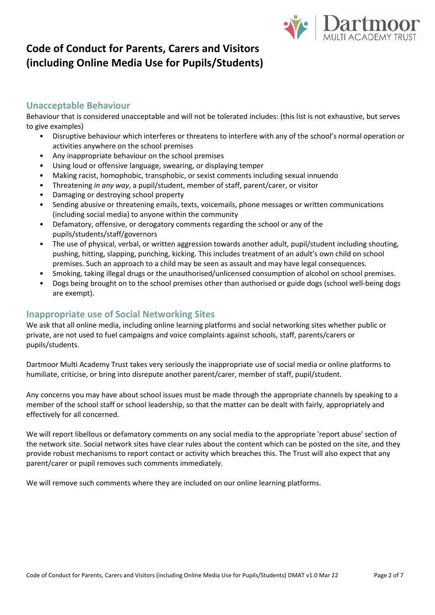

## **Unacceptable Behaviour**

Behaviour that is considered unacceptable and will not be tolerated includes: (this list is not exhaustive, but serves to give examples)

- Disruptive behaviour which interferes or threatens to interfere with any of the school's normal operation or activities anywhere on the school premises
- Any inappropriate behaviour on the school premises
- Using loud or offensive language, swearing, or displaying temper
- Making racist, homophobic, transphobic, or sexist comments including sexual innuendo
- Threatening *in any way*, a pupil/student, member of staff, parent/carer, or visitor
- Damaging or destroying school property
- Sending abusive or threatening emails, texts, voicemails, phone messages or written communications (including social media) to anyone within the community
- Defamatory, offensive, or derogatory comments regarding the school or any of the pupils/students/staff/governors
- The use of physical, verbal, or written aggression towards another adult, pupil/student including shouting, pushing, hitting, slapping, punching, kicking. This includes treatment of an adult's own child on school premises. Such an approach to a child may be seen as assault and may have legal consequences.
- Smoking, taking illegal drugs or the unauthorised/unlicensed consumption of alcohol on school premises.
- Dogs being brought on to the school premises other than authorised or guide dogs (school well-being dogs are exempt).

## **Inappropriate use of Social Networking Sites**

We ask that all online media, including online learning platforms and social networking sites whether public or private, are not used to fuel campaigns and voice complaints against schools, staff, parents/carers or pupils/students.

Dartmoor Multi Academy Trust takes very seriously the inappropriate use of social media or online platforms to humiliate, criticise, or bring into disrepute another parent/carer, member of staff, pupil/student.

Any concerns you may have about school issues must be made through the appropriate channels by speaking to a member of the school staff or school leadership, so that the matter can be dealt with fairly, appropriately and effectively for all concerned.

We will report libellous or defamatory comments on any social media to the appropriate 'report abuse' section of the network site. Social network sites have clear rules about the content which can be posted on the site, and they provide robust mechanisms to report contact or activity which breaches this. The Trust will also expect that any parent/carer or pupil removes such comments immediately.

We will remove such comments where they are included on our online learning platforms.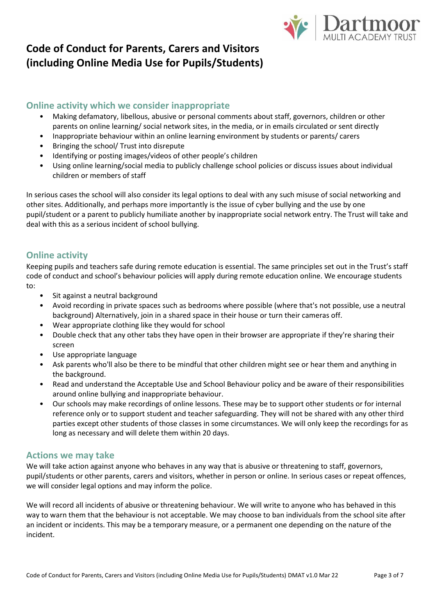

## **Online activity which we consider inappropriate**

- Making defamatory, libellous, abusive or personal comments about staff, governors, children or other parents on online learning/ social network sites, in the media, or in emails circulated or sent directly
- Inappropriate behaviour within an online learning environment by students or parents/ carers
- Bringing the school/ Trust into disrepute
- Identifying or posting images/videos of other people's children
- Using online learning/social media to publicly challenge school policies or discuss issues about individual children or members of staff

In serious cases the school will also consider its legal options to deal with any such misuse of social networking and other sites. Additionally, and perhaps more importantly is the issue of cyber bullying and the use by one pupil/student or a parent to publicly humiliate another by inappropriate social network entry. The Trust will take and deal with this as a serious incident of school bullying.

## **Online activity**

Keeping pupils and teachers safe during remote education is essential. The same principles set out in the Trust's staff code of conduct and school's behaviour policies will apply during remote education online. We encourage students to:

- Sit against a neutral background
- Avoid recording in private spaces such as bedrooms where possible (where that's not possible, use a neutral background) Alternatively, join in a shared space in their house or turn their cameras off.
- Wear appropriate clothing like they would for school
- Double check that any other tabs they have open in their browser are appropriate if they're sharing their screen
- Use appropriate language
- Ask parents who'll also be there to be mindful that other children might see or hear them and anything in the background.
- Read and understand the Acceptable Use and School Behaviour policy and be aware of their responsibilities around online bullying and inappropriate behaviour.
- Our schools may make recordings of online lessons. These may be to support other students or for internal reference only or to support student and teacher safeguarding. They will not be shared with any other third parties except other students of those classes in some circumstances. We will only keep the recordings for as long as necessary and will delete them within 20 days.

### **Actions we may take**

We will take action against anyone who behaves in any way that is abusive or threatening to staff, governors, pupil/students or other parents, carers and visitors, whether in person or online. In serious cases or repeat offences, we will consider legal options and may inform the police.

We will record all incidents of abusive or threatening behaviour. We will write to anyone who has behaved in this way to warn them that the behaviour is not acceptable. We may choose to ban individuals from the school site after an incident or incidents. This may be a temporary measure, or a permanent one depending on the nature of the incident.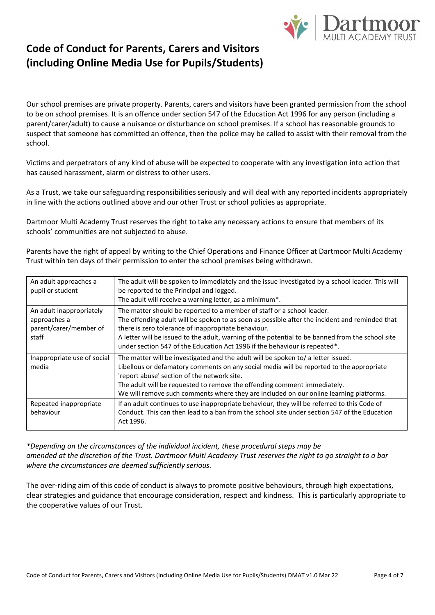

Our school premises are private property. Parents, carers and visitors have been granted permission from the school to be on school premises. It is an offence under section 547 of the Education Act 1996 for any person (including a parent/carer/adult) to cause a nuisance or disturbance on school premises. If a school has reasonable grounds to suspect that someone has committed an offence, then the police may be called to assist with their removal from the school.

Victims and perpetrators of any kind of abuse will be expected to cooperate with any investigation into action that has caused harassment, alarm or distress to other users.

As a Trust, we take our safeguarding responsibilities seriously and will deal with any reported incidents appropriately in line with the actions outlined above and our other Trust or school policies as appropriate.

Dartmoor Multi Academy Trust reserves the right to take any necessary actions to ensure that members of its schools' communities are not subjected to abuse.

Parents have the right of appeal by writing to the Chief Operations and Finance Officer at Dartmoor Multi Academy Trust within ten days of their permission to enter the school premises being withdrawn.

| An adult approaches a<br>pupil or student                                   | The adult will be spoken to immediately and the issue investigated by a school leader. This will<br>be reported to the Principal and logged.<br>The adult will receive a warning letter, as a minimum*.                                                                                                                                                                                                           |
|-----------------------------------------------------------------------------|-------------------------------------------------------------------------------------------------------------------------------------------------------------------------------------------------------------------------------------------------------------------------------------------------------------------------------------------------------------------------------------------------------------------|
| An adult inappropriately<br>approaches a<br>parent/carer/member of<br>staff | The matter should be reported to a member of staff or a school leader.<br>The offending adult will be spoken to as soon as possible after the incident and reminded that<br>there is zero tolerance of inappropriate behaviour.<br>A letter will be issued to the adult, warning of the potential to be banned from the school site<br>under section 547 of the Education Act 1996 if the behaviour is repeated*. |
| Inappropriate use of social<br>media                                        | The matter will be investigated and the adult will be spoken to/ a letter issued.<br>Libellous or defamatory comments on any social media will be reported to the appropriate<br>'report abuse' section of the network site.<br>The adult will be requested to remove the offending comment immediately.<br>We will remove such comments where they are included on our online learning platforms.                |
| Repeated inappropriate<br>behaviour                                         | If an adult continues to use inappropriate behaviour, they will be referred to this Code of<br>Conduct. This can then lead to a ban from the school site under section 547 of the Education<br>Act 1996.                                                                                                                                                                                                          |

*\*Depending on the circumstances of the individual incident, these procedural steps may be amended at the discretion of the Trust. Dartmoor Multi Academy Trust reserves the right to go straight to a bar where the circumstances are deemed sufficiently serious.*

The over-riding aim of this code of conduct is always to promote positive behaviours, through high expectations, clear strategies and guidance that encourage consideration, respect and kindness. This is particularly appropriate to the cooperative values of our Trust.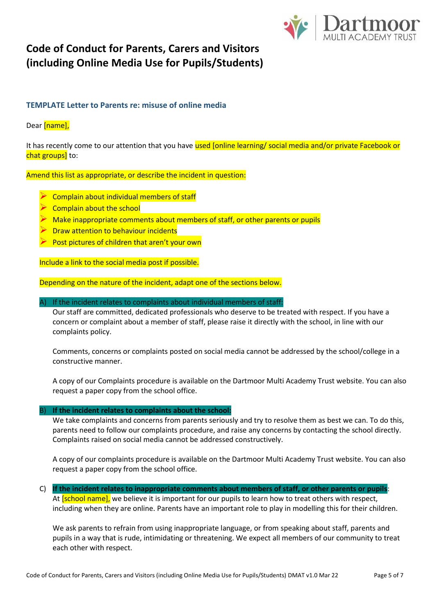

### **TEMPLATE Letter to Parents re: misuse of online media**

### Dear [name].

It has recently come to our attention that you have used [online learning/ social media and/or private Facebook or chat groups] to:

Amend this list as appropriate, or describe the incident in question:

- ➢ Complain about individual members of staff
- ➢ Complain about the school
- Make inappropriate comments about members of staff, or other parents or pupils
- **Draw attention to behaviour incidents**
- ➢ Post pictures of children that aren't your own

Include a link to the social media post if possible.

Depending on the nature of the incident, adapt one of the sections below.

#### A) If the incident relates to complaints about individual members of staff:

Our staff are committed, dedicated professionals who deserve to be treated with respect. If you have a concern or complaint about a member of staff, please raise it directly with the school, in line with our complaints policy.

Comments, concerns or complaints posted on social media cannot be addressed by the school/college in a constructive manner.

A copy of our Complaints procedure is available on the Dartmoor Multi Academy Trust website. You can also request a paper copy from the school office.

#### B) **If the incident relates to complaints about the school:**

We take complaints and concerns from parents seriously and try to resolve them as best we can. To do this, parents need to follow our complaints procedure, and raise any concerns by contacting the school directly. Complaints raised on social media cannot be addressed constructively.

A copy of our complaints procedure is available on the Dartmoor Multi Academy Trust website. You can also request a paper copy from the school office.

C) **If the incident relates to inappropriate comments about members of staff, or other parents or pupils**:

At [school name], we believe it is important for our pupils to learn how to treat others with respect, including when they are online. Parents have an important role to play in modelling this for their children.

We ask parents to refrain from using inappropriate language, or from speaking about staff, parents and pupils in a way that is rude, intimidating or threatening. We expect all members of our community to treat each other with respect.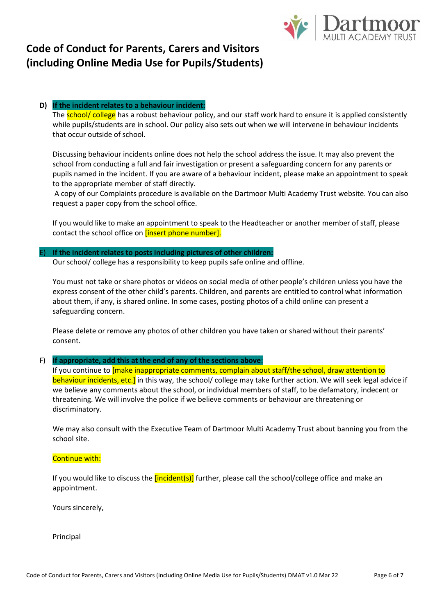

#### **D) If the incident relates to a behaviour incident:**

The **school/ college** has a robust behaviour policy, and our staff work hard to ensure it is applied consistently while pupils/students are in school. Our policy also sets out when we will intervene in behaviour incidents that occur outside of school.

Discussing behaviour incidents online does not help the school address the issue. It may also prevent the school from conducting a full and fair investigation or present a safeguarding concern for any parents or pupils named in the incident. If you are aware of a behaviour incident, please make an appointment to speak to the appropriate member of staff directly.

A copy of our Complaints procedure is available on the Dartmoor Multi Academy Trust website. You can also request a paper copy from the school office.

If you would like to make an appointment to speak to the Headteacher or another member of staff, please contact the school office on *[insert phone number]*.

#### E) **If the incident relates to posts including pictures of other children:**

Our school/ college has a responsibility to keep pupils safe online and offline.

You must not take or share photos or videos on social media of other people's children unless you have the express consent of the other child's parents. Children, and parents are entitled to control what information about them, if any, is shared online. In some cases, posting photos of a child online can present a safeguarding concern.

Please delete or remove any photos of other children you have taken or shared without their parents' consent.

#### F) **If appropriate, add this at the end of any of the sections above**:

If you continue to [make inappropriate comments, complain about staff/the school, draw attention to behaviour incidents, etc.] in this way, the school/ college may take further action. We will seek legal advice if we believe any comments about the school, or individual members of staff, to be defamatory, indecent or threatening. We will involve the police if we believe comments or behaviour are threatening or discriminatory.

We may also consult with the Executive Team of Dartmoor Multi Academy Trust about banning you from the school site.

#### Continue with:

If you would like to discuss the  $[incident(s)]$  further, please call the school/college office and make an appointment.

Yours sincerely,

Principal